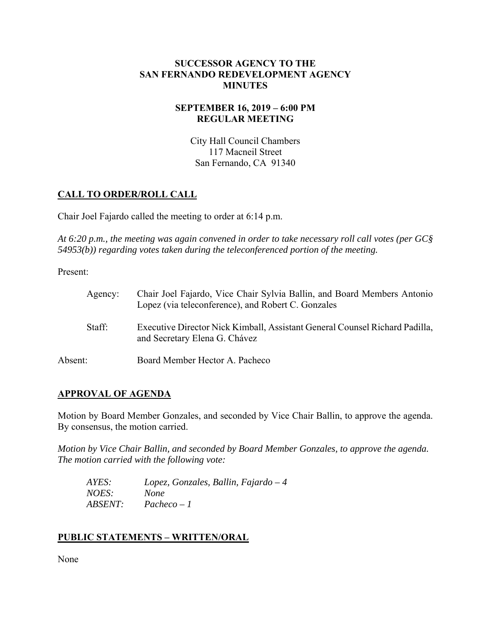## **SUCCESSOR AGENCY TO THE SAN FERNANDO REDEVELOPMENT AGENCY MINUTES**

## **SEPTEMBER 16, 2019 – 6:00 PM REGULAR MEETING**

City Hall Council Chambers 117 Macneil Street San Fernando, CA 91340

## **CALL TO ORDER/ROLL CALL**

Chair Joel Fajardo called the meeting to order at 6:14 p.m.

*At 6:20 p.m., the meeting was again convened in order to take necessary roll call votes (per GC§ 54953(b)) regarding votes taken during the teleconferenced portion of the meeting.* 

Present:

| Agency: | Chair Joel Fajardo, Vice Chair Sylvia Ballin, and Board Members Antonio<br>Lopez (via teleconference), and Robert C. Gonzales |
|---------|-------------------------------------------------------------------------------------------------------------------------------|
| Staff:  | Executive Director Nick Kimball, Assistant General Counsel Richard Padilla,<br>and Secretary Elena G. Chávez                  |
| Absent: | Board Member Hector A. Pacheco                                                                                                |

## **APPROVAL OF AGENDA**

Motion by Board Member Gonzales, and seconded by Vice Chair Ballin, to approve the agenda. By consensus, the motion carried.

*Motion by Vice Chair Ballin, and seconded by Board Member Gonzales, to approve the agenda. The motion carried with the following vote:* 

| AYES:                 | Lopez, Gonzales, Ballin, Fajardo $-4$ |
|-----------------------|---------------------------------------|
| <i>NOES:</i>          | <b>None</b>                           |
| <i><b>ABSENT:</b></i> | $Pacheco - I$                         |

# **PUBLIC STATEMENTS – WRITTEN/ORAL**

None